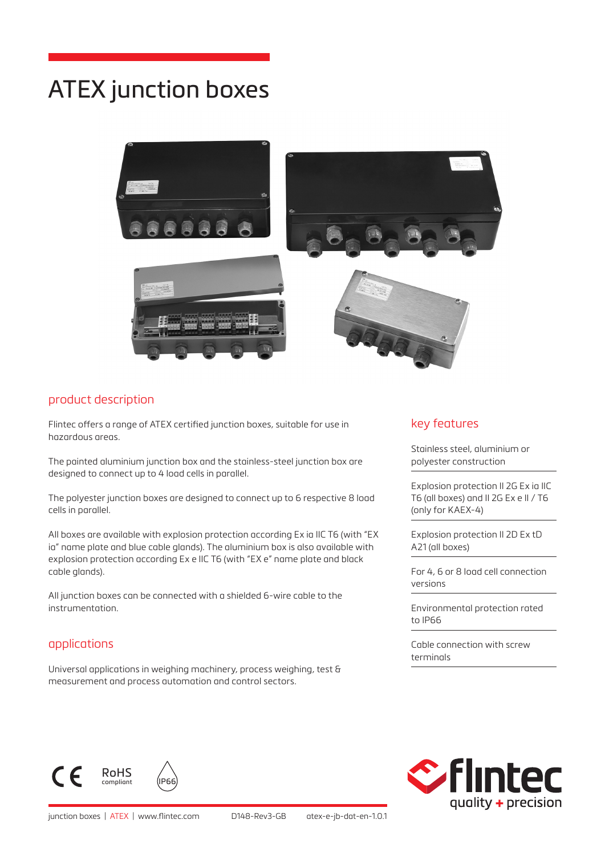# ATEX junction boxes



#### product description

Flintec offers a range of ATEX certified junction boxes, suitable for use in hazardous areas.

The painted aluminium junction box and the stainless-steel junction box are designed to connect up to 4 load cells in parallel.

The polyester junction boxes are designed to connect up to 6 respective 8 load cells in parallel.

All boxes are available with explosion protection according Ex ia IIC T6 (with "EX ia" name plate and blue cable glands). The aluminium box is also available with explosion protection according Ex e IIC T6 (with "EX e" name plate and black cable glands).

All junction boxes can be connected with a shielded 6-wire cable to the instrumentation.

## applications

Universal applications in weighing machinery, process weighing, test & measurement and process automation and control sectors.

#### key features

Stainless steel, aluminium or polyester construction

Explosion protection II 2G Ex ia IIC T6 (all boxes) and II 2G Ex e II / T6 (only for KAEX-4)

Explosion protection II 2D Ex tD A21 (all boxes)

For 4, 6 or 8 load cell connection versions

Environmental protection rated to IP66

Cable connection with screw terminals





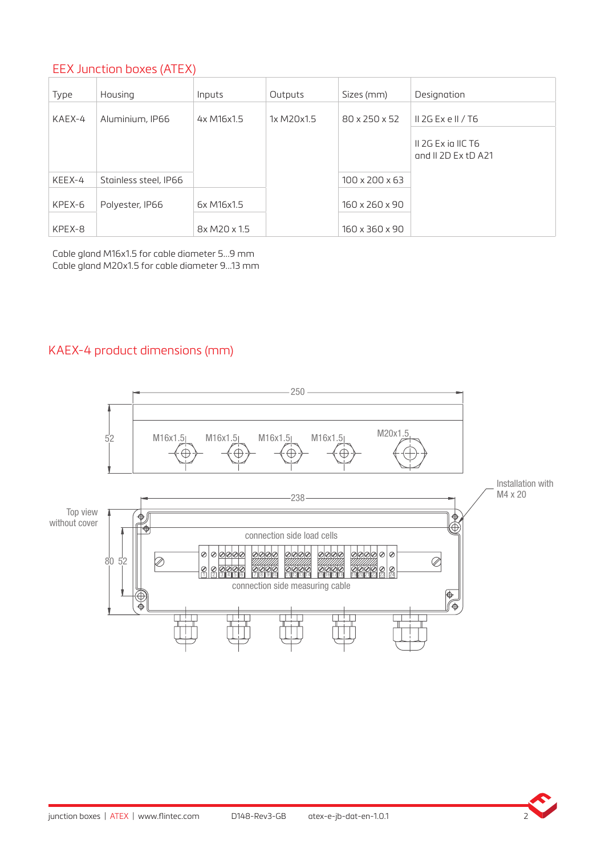# EEX Junction boxes (ATEX)

| Type   | Housing               | Inputs       | Outputs    | Sizes (mm)                 | Designation                                 |
|--------|-----------------------|--------------|------------|----------------------------|---------------------------------------------|
| KAEX-4 | Aluminium, IP66       | 4x M16x1.5   | 1x M20x1.5 | 80 x 250 x 52              | $\parallel$ 2G Ex e $\parallel$ / T6        |
|        |                       |              |            |                            | II 2G Ex ia IIC T6<br>and $II$ 2D Ex tD A21 |
| KEEX-4 | Stainless steel, IP66 |              |            | $100 \times 200 \times 63$ |                                             |
| KPEX-6 | Polyester, IP66       | 6x M16x1.5   |            | 160 x 260 x 90             |                                             |
| KPEX-8 |                       | 8x M20 x 1.5 |            | 160 x 360 x 90             |                                             |

Cable gland M16x1.5 for cable diameter 5...9 mm Cable gland M20x1.5 for cable diameter 9...13 mm

## KAEX-4 product dimensions (mm)